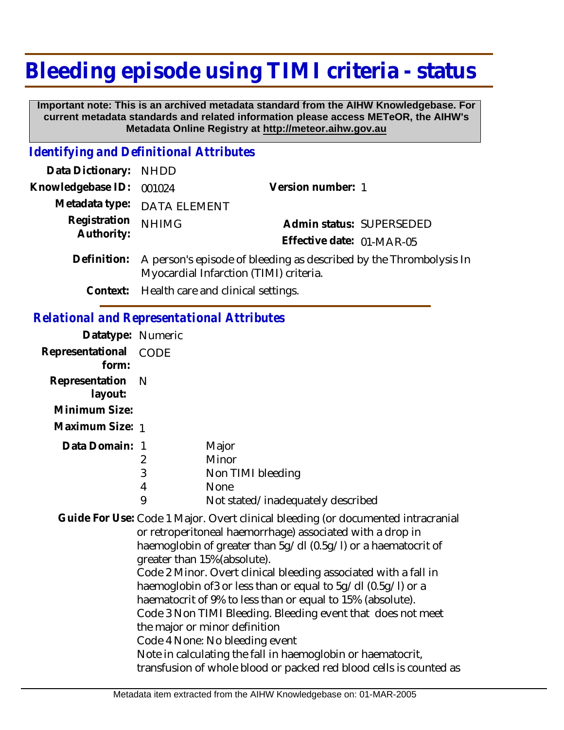## **Bleeding episode using TIMI criteria - status**

 **Important note: This is an archived metadata standard from the AIHW Knowledgebase. For current metadata standards and related information please access METeOR, the AIHW's Metadata Online Registry at http://meteor.aihw.gov.au**

## *Identifying and Definitional Attributes*

| Data Dictionary: NHDD    |                                                                          |                           |  |
|--------------------------|--------------------------------------------------------------------------|---------------------------|--|
| Knowledgebase ID: 001024 |                                                                          | Version number: 1         |  |
|                          | Metadata type: DATA ELEMENT                                              |                           |  |
| Registration NHIMG       |                                                                          | Admin status: SUPERSEDED  |  |
| Authority:               |                                                                          | Effective date: 01-MAR-05 |  |
|                          | Definition: A person's episode of bleeding as described by the Thromboly |                           |  |

- ne <mark>i hrombolysis In</mark> Myocardial Infarction (TIMI) criteria.
	- **Context:** Health care and clinical settings.

## *Relational and Representational Attributes*

| Datatype: Numeric     |   |                                   |
|-----------------------|---|-----------------------------------|
| Representational CODE |   |                                   |
| form:                 |   |                                   |
| Representation N      |   |                                   |
| layout:               |   |                                   |
| Minimum Size:         |   |                                   |
| Maximum Size: 1       |   |                                   |
| Data Domain: 1        |   | Major                             |
|                       | 2 | Minor                             |
|                       | 3 | Non TIMI bleeding                 |
|                       | 4 | <b>None</b>                       |
|                       | 9 | Not stated/inadequately described |

Guide For Use: Code 1 Major. Overt clinical bleeding (or documented intracranial or retroperitoneal haemorrhage) associated with a drop in haemoglobin of greater than 5g/dl (0.5g/l) or a haematocrit of greater than 15%(absolute). Code 2 Minor. Overt clinical bleeding associated with a fall in haemoglobin of3 or less than or equal to 5g/dl (0.5g/l) or a haematocrit of 9% to less than or equal to 15% (absolute). Code 3 Non TIMI Bleeding. Bleeding event that does not meet the major or minor definition Code 4 None: No bleeding event Note in calculating the fall in haemoglobin or haematocrit,

transfusion of whole blood or packed red blood cells is counted as